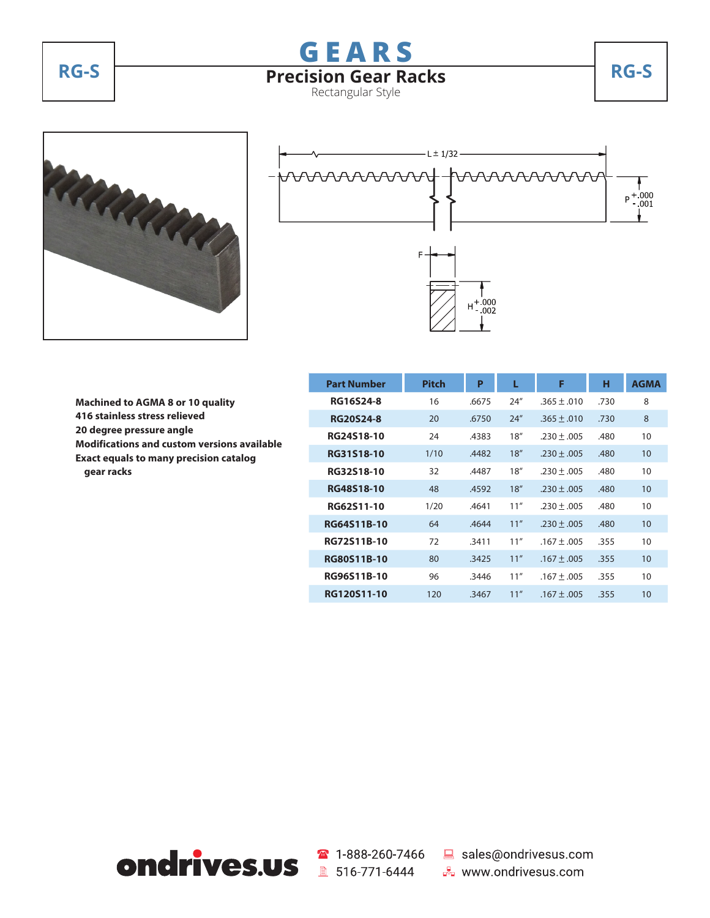





 **Machined to AGMA 8 or 10 quality 416 stainless stress relieved 20 degree pressure angle Modifications and custom versions available Exact equals to many precision catalog gear racks**

|  | <b>Part Number</b> | <b>Pitch</b> | P     | L    | F               | н    | <b>AGMA</b> |
|--|--------------------|--------------|-------|------|-----------------|------|-------------|
|  | <b>RG16S24-8</b>   | 16           | .6675 | 24'' | $.365 \pm .010$ | .730 | 8           |
|  | <b>RG20S24-8</b>   | 20           | .6750 | 24'' | $.365 + .010$   | .730 | 8           |
|  | RG24S18-10         | 24           | .4383 | 18'' | $.230 + .005$   | .480 | 10          |
|  | RG31S18-10         | 1/10         | .4482 | 18'' | $.230 \pm .005$ | .480 | 10          |
|  | RG32S18-10         | 32           | .4487 | 18'' | $.230 + .005$   | .480 | 10          |
|  | RG48S18-10         | 48           | .4592 | 18"  | $.230 + .005$   | .480 | 10          |
|  | RG62S11-10         | 1/20         | .4641 | 11"  | $.230 + .005$   | .480 | 10          |
|  | <b>RG64S11B-10</b> | 64           | .4644 | 11"  | $.230 + .005$   | .480 | 10          |
|  | RG72S11B-10        | 72           | .3411 | 11"  | $.167 + .005$   | .355 | 10          |
|  | <b>RG80S11B-10</b> | 80           | .3425 | 11"  | $.167 \pm .005$ | .355 | 10          |
|  | RG96S11B-10        | 96           | .3446 | 11"  | $.167 \pm .005$ | .355 | 10          |
|  | RG120S11-10        | 120          | .3467 | 11"  | $.167 + .005$   | .355 | 10          |



■ 516-771-6444

☎ 1-888-260-7466 ■ sales@ondrivesus.com **B** www.ondrivesus.com